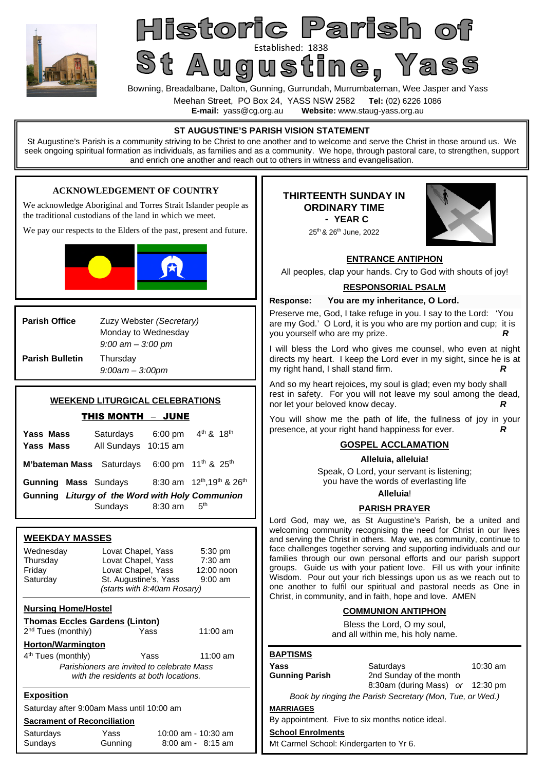

Sundays Gunning 8:00 am - 8:15 am

# Established: 1838<br>
St Auggus Stim e<sub>n</sub> Yas S<br>
Bowning, Breadalbane, Dalton, Gunning, Gurrundah, Murrumbateman, Wee Jasper and Yass Historic Parish of

Meehan Street, PO Box 24, YASS NSW 2582 **Tel:** (02) 6226 1086

**E-mail:** yass@cg.org.au **Website:** www.staug-yass.org.au

| ST AUGUSTINE'S PARISH VISION STATEMENT<br>St Augustine's Parish is a community striving to be Christ to one another and to welcome and serve the Christ in those around us. We<br>seek ongoing spiritual formation as individuals, as families and as a community. We hope, through pastoral care, to strengthen, support<br>and enrich one another and reach out to others in witness and evangelisation. |                                                                                                                                                                                                                                                                                                                                                                                                                                                                                                                                                                                                                                                    |  |  |
|------------------------------------------------------------------------------------------------------------------------------------------------------------------------------------------------------------------------------------------------------------------------------------------------------------------------------------------------------------------------------------------------------------|----------------------------------------------------------------------------------------------------------------------------------------------------------------------------------------------------------------------------------------------------------------------------------------------------------------------------------------------------------------------------------------------------------------------------------------------------------------------------------------------------------------------------------------------------------------------------------------------------------------------------------------------------|--|--|
| <b>ACKNOWLEDGEMENT OF COUNTRY</b><br>We acknowledge Aboriginal and Torres Strait Islander people as<br>the traditional custodians of the land in which we meet.<br>We pay our respects to the Elders of the past, present and future.                                                                                                                                                                      | <b>THIRTEENTH SUNDAY IN</b><br><b>ORDINARY TIME</b><br>- YEAR C<br>25th & 26th June, 2022                                                                                                                                                                                                                                                                                                                                                                                                                                                                                                                                                          |  |  |
|                                                                                                                                                                                                                                                                                                                                                                                                            | <b>ENTRANCE ANTIPHON</b><br>All peoples, clap your hands. Cry to God with shouts of joy!<br><b>RESPONSORIAL PSALM</b><br>You are my inheritance, O Lord.<br><b>Response:</b>                                                                                                                                                                                                                                                                                                                                                                                                                                                                       |  |  |
| <b>Parish Office</b><br>Zuzy Webster (Secretary)<br>Monday to Wednesday<br>$9:00 \text{ am} - 3:00 \text{ pm}$                                                                                                                                                                                                                                                                                             | Preserve me, God, I take refuge in you. I say to the Lord: 'You<br>are my God.' O Lord, it is you who are my portion and cup; it is<br>you yourself who are my prize.<br>R                                                                                                                                                                                                                                                                                                                                                                                                                                                                         |  |  |
| <b>Parish Bulletin</b><br>Thursday<br>$9:00am - 3:00pm$                                                                                                                                                                                                                                                                                                                                                    | I will bless the Lord who gives me counsel, who even at night<br>directs my heart. I keep the Lord ever in my sight, since he is at<br>my right hand, I shall stand firm.<br>R                                                                                                                                                                                                                                                                                                                                                                                                                                                                     |  |  |
| <b>WEEKEND LITURGICAL CELEBRATIONS</b>                                                                                                                                                                                                                                                                                                                                                                     | And so my heart rejoices, my soul is glad; even my body shall<br>rest in safety. For you will not leave my soul among the dead,<br>nor let your beloved know decay.<br>R                                                                                                                                                                                                                                                                                                                                                                                                                                                                           |  |  |
| THIS MONTH - JUNE<br>4 <sup>th</sup> & 18 <sup>th</sup><br><b>Yass Mass</b><br>6:00 pm<br>Saturdays                                                                                                                                                                                                                                                                                                        | You will show me the path of life, the fullness of joy in your<br>presence, at your right hand happiness for ever.<br>R                                                                                                                                                                                                                                                                                                                                                                                                                                                                                                                            |  |  |
| <b>Yass Mass</b><br>All Sundays<br>$10:15$ am                                                                                                                                                                                                                                                                                                                                                              | <b>GOSPEL ACCLAMATION</b>                                                                                                                                                                                                                                                                                                                                                                                                                                                                                                                                                                                                                          |  |  |
| 6:00 pm 11 <sup>th</sup> & 25 <sup>th</sup><br><b>M'bateman Mass</b> Saturdays                                                                                                                                                                                                                                                                                                                             | Alleluia, alleluia!<br>Speak, O Lord, your servant is listening;                                                                                                                                                                                                                                                                                                                                                                                                                                                                                                                                                                                   |  |  |
| 8:30 am 12 <sup>th</sup> , 19 <sup>th</sup> & 26 <sup>th</sup><br><b>Gunning Mass Sundays</b>                                                                                                                                                                                                                                                                                                              | you have the words of everlasting life                                                                                                                                                                                                                                                                                                                                                                                                                                                                                                                                                                                                             |  |  |
| Gunning Liturgy of the Word with Holy Communion<br>5 <sup>th</sup><br>8:30 am<br>Sundays                                                                                                                                                                                                                                                                                                                   | Alleluia!                                                                                                                                                                                                                                                                                                                                                                                                                                                                                                                                                                                                                                          |  |  |
| <b>WEEKDAY MASSES</b><br>Wednesday<br>Lovat Chapel, Yass<br>5:30 pm<br>Lovat Chapel, Yass<br>$7:30$ am<br>Thursday<br>Lovat Chapel, Yass<br>12:00 noon<br>Friday<br>Saturday<br>St. Augustine's, Yass<br>$9:00$ am<br>(starts with 8:40am Rosary)                                                                                                                                                          | <b>PARISH PRAYER</b><br>Lord God, may we, as St Augustine's Parish, be a united and<br>welcoming community recognising the need for Christ in our lives<br>and serving the Christ in others. May we, as community, continue to<br>face challenges together serving and supporting individuals and our<br>families through our own personal efforts and our parish support<br>groups. Guide us with your patient love. Fill us with your infinite<br>Wisdom. Pour out your rich blessings upon us as we reach out to<br>one another to fulfil our spiritual and pastoral needs as One in<br>Christ, in community, and in faith, hope and love. AMEN |  |  |
| <b>Nursing Home/Hostel</b>                                                                                                                                                                                                                                                                                                                                                                                 | <b>COMMUNION ANTIPHON</b>                                                                                                                                                                                                                                                                                                                                                                                                                                                                                                                                                                                                                          |  |  |
| <b>Thomas Eccles Gardens (Linton)</b><br>2 <sup>nd</sup> Tues (monthly)<br>$11:00$ am<br>Yass                                                                                                                                                                                                                                                                                                              | Bless the Lord, O my soul,<br>and all within me, his holy name.                                                                                                                                                                                                                                                                                                                                                                                                                                                                                                                                                                                    |  |  |
| Horton/Warmington<br>4 <sup>th</sup> Tues (monthly)<br>$11:00$ am<br>Yass<br>Parishioners are invited to celebrate Mass<br>with the residents at both locations.                                                                                                                                                                                                                                           | <b>BAPTISMS</b><br><b>Yass</b><br>Saturdays<br>$10:30$ am<br><b>Gunning Parish</b><br>2nd Sunday of the month<br>8:30am (during Mass) or 12:30 pm                                                                                                                                                                                                                                                                                                                                                                                                                                                                                                  |  |  |
| <b>Exposition</b><br>Saturday after 9:00am Mass until 10:00 am<br><b>Sacrament of Reconciliation</b><br>Yass<br>10:00 am - 10:30 am<br>Saturdays                                                                                                                                                                                                                                                           | Book by ringing the Parish Secretary (Mon, Tue, or Wed.)<br><b>MARRIAGES</b><br>By appointment. Five to six months notice ideal.<br><b>School Enrolments</b>                                                                                                                                                                                                                                                                                                                                                                                                                                                                                       |  |  |

Mt Carmel School: Kindergarten to Yr 6.

Ring the School Secretary for appointment (02) 6226 3357.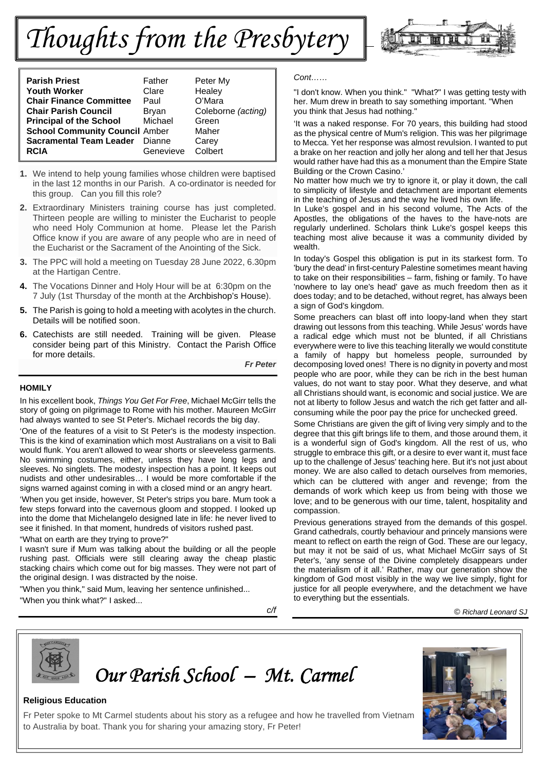## *Thoughts from the Presbytery*



- **1.** We intend to help young families whose children were baptised in the last 12 months in our Parish. A co-ordinator is needed for this group. Can you fill this role?
- **2.** Extraordinary Ministers training course has just completed. Thirteen people are willing to minister the Eucharist to people who need Holy Communion at home. Please let the Parish Office know if you are aware of any people who are in need of the Eucharist or the Sacrament of the Anointing of the Sick.
- **3.** The PPC will hold a meeting on Tuesday 28 June 2022, 6.30pm at the Hartigan Centre.
- **4.** The Vocations Dinner and Holy Hour will be at 6:30pm on the 7 July (1st Thursday of the month at the Archbishop's House).
- **5.** The Parish is going to hold a meeting with acolytes in the church. Details will be notified soon.
- **6.** Catechists are still needed. Training will be given. Please consider being part of this Ministry. Contact the Parish Office for more details.

*Fr Peter* 

#### **HOMILY**

In his excellent book, *Things You Get For Free*, Michael McGirr tells the story of going on pilgrimage to Rome with his mother. Maureen McGirr had always wanted to see St Peter's. Michael records the big day.

'One of the features of a visit to St Peter's is the modesty inspection. This is the kind of examination which most Australians on a visit to Bali would flunk. You aren't allowed to wear shorts or sleeveless garments. No swimming costumes, either, unless they have long legs and sleeves. No singlets. The modesty inspection has a point. It keeps out nudists and other undesirables… I would be more comfortable if the signs warned against coming in with a closed mind or an angry heart.

'When you get inside, however, St Peter's strips you bare. Mum took a few steps forward into the cavernous gloom and stopped. I looked up into the dome that Michelangelo designed late in life: he never lived to see it finished. In that moment, hundreds of visitors rushed past.

"What on earth are they trying to prove?"

I wasn't sure if Mum was talking about the building or all the people rushing past. Officials were still clearing away the cheap plastic stacking chairs which come out for big masses. They were not part of the original design. I was distracted by the noise.

"When you think," said Mum, leaving her sentence unfinished...

"When you think what?" I asked...

*c/f* 

#### *Cont……*

"I don't know. When you think." "What?" I was getting testy with her. Mum drew in breath to say something important. "When you think that Jesus had nothing."

'It was a naked response. For 70 years, this building had stood as the physical centre of Mum's religion. This was her pilgrimage to Mecca. Yet her response was almost revulsion. I wanted to put a brake on her reaction and jolly her along and tell her that Jesus would rather have had this as a monument than the Empire State Building or the Crown Casino.'

No matter how much we try to ignore it, or play it down, the call to simplicity of lifestyle and detachment are important elements in the teaching of Jesus and the way he lived his own life.

In Luke's gospel and in his second volume, The Acts of the Apostles, the obligations of the haves to the have-nots are regularly underlined. Scholars think Luke's gospel keeps this teaching most alive because it was a community divided by wealth.

In today's Gospel this obligation is put in its starkest form. To 'bury the dead' in first-century Palestine sometimes meant having to take on their responsibilities – farm, fishing or family. To have 'nowhere to lay one's head' gave as much freedom then as it does today; and to be detached, without regret, has always been a sign of God's kingdom.

Some preachers can blast off into loopy-land when they start drawing out lessons from this teaching. While Jesus' words have a radical edge which must not be blunted, if all Christians everywhere were to live this teaching literally we would constitute a family of happy but homeless people, surrounded by decomposing loved ones! There is no dignity in poverty and most people who are poor, while they can be rich in the best human values, do not want to stay poor. What they deserve, and what all Christians should want, is economic and social justice. We are not at liberty to follow Jesus and watch the rich get fatter and allconsuming while the poor pay the price for unchecked greed.

Some Christians are given the gift of living very simply and to the degree that this gift brings life to them, and those around them, it is a wonderful sign of God's kingdom. All the rest of us, who struggle to embrace this gift, or a desire to ever want it, must face up to the challenge of Jesus' teaching here. But it's not just about money. We are also called to detach ourselves from memories, which can be cluttered with anger and revenge; from the demands of work which keep us from being with those we love; and to be generous with our time, talent, hospitality and compassion.

Previous generations strayed from the demands of this gospel. Grand cathedrals, courtly behaviour and princely mansions were meant to reflect on earth the reign of God. These are our legacy, but may it not be said of us, what Michael McGirr says of St Peter's, 'any sense of the Divine completely disappears under the materialism of it all.' Rather, may our generation show the kingdom of God most visibly in the way we live simply, fight for justice for all people everywhere, and the detachment we have to everything but the essentials.

© *Richard Leonard SJ* 



*Our Parish School – Mt. Carmel*

#### **Religious Education**

Fr Peter spoke to Mt Carmel students about his story as a refugee and how he travelled from Vietnam to Australia by boat. Thank you for sharing your amazing story, Fr Peter!

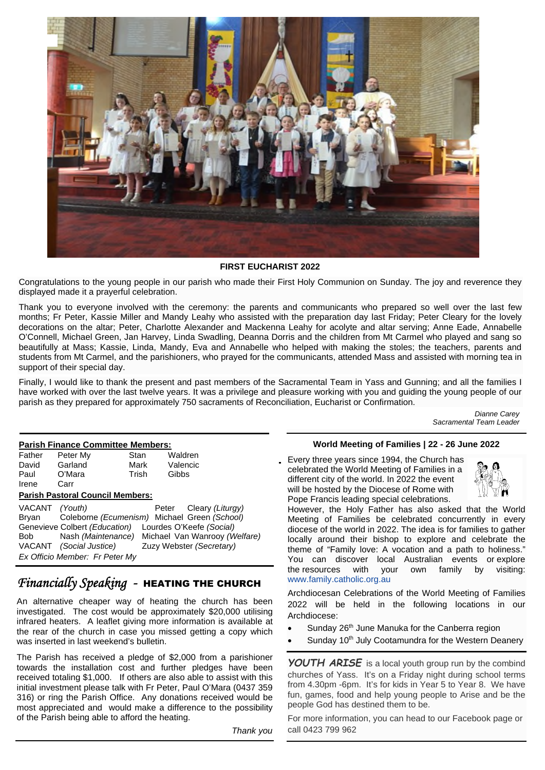

#### **FIRST EUCHARIST 2022**

Congratulations to the young people in our parish who made their First Holy Communion on Sunday. The joy and reverence they displayed made it a prayerful celebration.

Thank you to everyone involved with the ceremony: the parents and communicants who prepared so well over the last few months; Fr Peter, Kassie Miller and Mandy Leahy who assisted with the preparation day last Friday; Peter Cleary for the lovely decorations on the altar; Peter, Charlotte Alexander and Mackenna Leahy for acolyte and altar serving; Anne Eade, Annabelle O'Connell, Michael Green, Jan Harvey, Linda Swadling, Deanna Dorris and the children from Mt Carmel who played and sang so beautifully at Mass; Kassie, Linda, Mandy, Eva and Annabelle who helped with making the stoles; the teachers, parents and students from Mt Carmel, and the parishioners, who prayed for the communicants, attended Mass and assisted with morning tea in support of their special day.

Finally, I would like to thank the present and past members of the Sacramental Team in Yass and Gunning; and all the families I have worked with over the last twelve years. It was a privilege and pleasure working with you and guiding the young people of our parish as they prepared for approximately 750 sacraments of Reconciliation, Eucharist or Confirmation.

> *Dianne Carey Sacramental Team Leader*

#### **Parish Finance Committee Members:**  Father Peter My Stan Waldren David Garland Mark Valencic

| Paul  | O'Mara | Trish | Gibbs |
|-------|--------|-------|-------|
| Irene | Carr   |       |       |

#### **Parish Pastoral Council Members:**

VACANT *(Youth)* Peter Cleary *(Liturgy)* Bryan Coleborne *(Ecumenism)* Michael Green *(School)* Genevieve Colbert *(Education)* Lourdes O'Keefe *(Social)* Bob Nash *(Maintenance)* Michael Van Wanrooy *(Welfare)*  VACANT *(Social Justice)* Zuzy Webster *(Secretary) Ex Officio Member: Fr Peter My*

#### *Financially Speaking -* HEATING THE CHURCH

An alternative cheaper way of heating the church has been investigated. The cost would be approximately \$20,000 utilising infrared heaters. A leaflet giving more information is available at the rear of the church in case you missed getting a copy which was inserted in last weekend's bulletin.

The Parish has received a pledge of \$2,000 from a parishioner towards the installation cost and further pledges have been received totaling \$1,000. If others are also able to assist with this initial investment please talk with Fr Peter, Paul O'Mara (0437 359 316) or ring the Parish Office. Any donations received would be most appreciated and would make a difference to the possibility of the Parish being able to afford the heating.

*Thank you* 

#### **World Meeting of Families | 22 - 26 June 2022**

Every three years since 1994, the Church has celebrated the World Meeting of Families in a different city of the world. In 2022 the event will be hosted by the Diocese of Rome with Pope Francis leading special celebrations.



However, the Holy Father has also asked that the World Meeting of Families be celebrated concurrently in every diocese of the world in 2022. The idea is for families to gather locally around their bishop to explore and celebrate the theme of "Family love: A vocation and a path to holiness." You can discover local Australian events or explore the resources with your own family by visiting: www.family.catholic.org.au

Archdiocesan Celebrations of the World Meeting of Families 2022 will be held in the following locations in our Archdiocese:

- Sunday 26<sup>th</sup> June Manuka for the Canberra region
- Sunday 10<sup>th</sup> July Cootamundra for the Western Deanery

*YOUTH ARISE* is a local youth group run by the combind churches of Yass. It's on a Friday night during school terms from 4.30pm -6pm. It's for kids in Year 5 to Year 8. We have fun, games, food and help young people to Arise and be the people God has destined them to be.

For more information, you can head to our Facebook page or call 0423 799 962